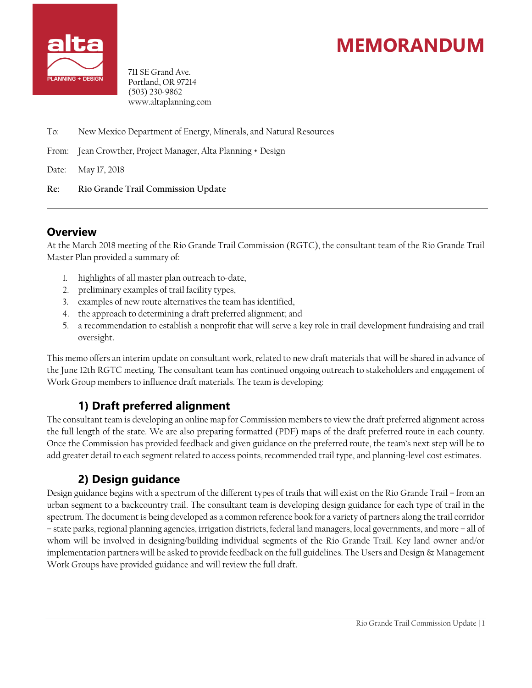



711 SE Grand Ave. Portland, OR 97214 (503) 230-9862 www.altaplanning.com

- To: New Mexico Department of Energy, Minerals, and Natural Resources
- From: Jean Crowther, Project Manager, Alta Planning + Design
- Date: May 17, 2018
- **Re: Rio Grande Trail Commission Update**

#### **Overview**

At the March 2018 meeting of the Rio Grande Trail Commission (RGTC), the consultant team of the Rio Grande Trail Master Plan provided a summary of:

- 1. highlights of all master plan outreach to-date,
- 2. preliminary examples of trail facility types,
- 3. examples of new route alternatives the team has identified,
- 4. the approach to determining a draft preferred alignment; and
- 5. a recommendation to establish a nonprofit that will serve a key role in trail development fundraising and trail oversight.

This memo offers an interim update on consultant work, related to new draft materials that will be shared in advance of the June 12th RGTC meeting. The consultant team has continued ongoing outreach to stakeholders and engagement of Work Group members to influence draft materials. The team is developing:

### **1) Draft preferred alignment**

The consultant team is developing an online map for Commission members to view the draft preferred alignment across the full length of the state. We are also preparing formatted (PDF) maps of the draft preferred route in each county. Once the Commission has provided feedback and given guidance on the preferred route, the team's next step will be to add greater detail to each segment related to access points, recommended trail type, and planning-level cost estimates.

### **2) Design guidance**

Design guidance begins with a spectrum of the different types of trails that will exist on the Rio Grande Trail – from an urban segment to a backcountry trail. The consultant team is developing design guidance for each type of trail in the spectrum. The document is being developed as a common reference book for a variety of partners along the trail corridor – state parks, regional planning agencies, irrigation districts, federal land managers, local governments, and more – all of whom will be involved in designing/building individual segments of the Rio Grande Trail. Key land owner and/or implementation partners will be asked to provide feedback on the full guidelines. The Users and Design & Management Work Groups have provided guidance and will review the full draft.